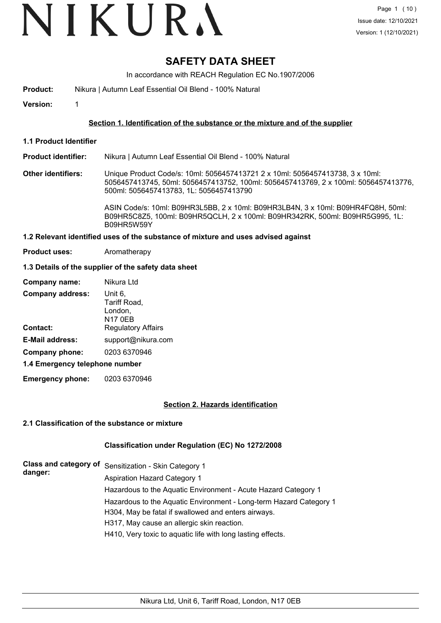# VIKURA

## **SAFETY DATA SHEET**

In accordance with REACH Regulation EC No.1907/2006

**Product:** Nikura | Autumn Leaf Essential Oil Blend - 100% Natural

**Version:** 1

#### **Section 1. Identification of the substance or the mixture and of the supplier**

**1.1 Product Identifier**

**Product identifier:** Nikura | Autumn Leaf Essential Oil Blend - 100% Natural

**Other identifiers:** Unique Product Code/s: 10ml: 5056457413721 2 x 10ml: 5056457413738, 3 x 10ml: 5056457413745, 50ml: 5056457413752, 100ml: 5056457413769, 2 x 100ml: 5056457413776, 500ml: 5056457413783, 1L: 5056457413790

> ASIN Code/s: 10ml: B09HR3L5BB, 2 x 10ml: B09HR3LB4N, 3 x 10ml: B09HR4FQ8H, 50ml: B09HR5C8Z5, 100ml: B09HR5QCLH, 2 x 100ml: B09HR342RK, 500ml: B09HR5G995, 1L: B09HR5W59Y

#### **1.2 Relevant identified uses of the substance of mixture and uses advised against**

**Product uses:** Aromatherapy

#### **1.3 Details of the supplier of the safety data sheet**

| Company name:                  | Nikura Ltd                                    |
|--------------------------------|-----------------------------------------------|
| <b>Company address:</b>        | Unit 6.<br>Tariff Road,<br>London,<br>N17 0EB |
| Contact:                       | <b>Regulatory Affairs</b>                     |
| <b>E-Mail address:</b>         | support@nikura.com                            |
| Company phone:                 | 0203 6370946                                  |
| 1.4 Emergency telephone number |                                               |

**Emergency phone:** 0203 6370946

#### **Section 2. Hazards identification**

#### **2.1 Classification of the substance or mixture**

#### **Classification under Regulation (EC) No 1272/2008**

| danger: | Class and category of Sensitization - Skin Category 1              |
|---------|--------------------------------------------------------------------|
|         | <b>Aspiration Hazard Category 1</b>                                |
|         | Hazardous to the Aquatic Environment - Acute Hazard Category 1     |
|         | Hazardous to the Aquatic Environment - Long-term Hazard Category 1 |
|         | H304, May be fatal if swallowed and enters airways.                |
|         | H317, May cause an allergic skin reaction.                         |
|         | H410, Very toxic to aquatic life with long lasting effects.        |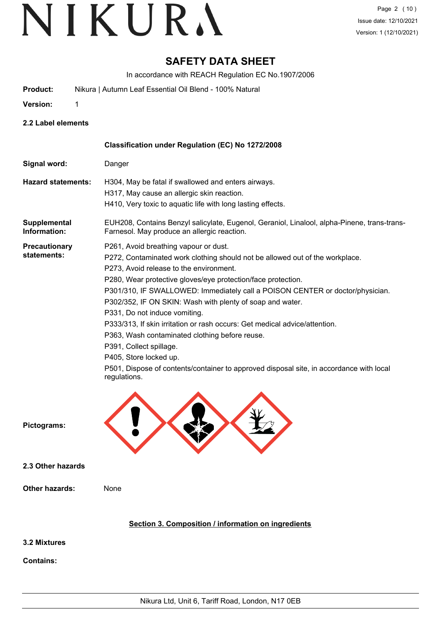## **SAFETY DATA SHEET**

In accordance with REACH Regulation EC No.1907/2006

- **Product:** Nikura | Autumn Leaf Essential Oil Blend 100% Natural
- **Version:** 1

**2.2 Label elements**

|                                     | Classification under Regulation (EC) No 1272/2008                                                                                                                                                                                                                                                                                                                                                                                                                                                                                                                                                                                                                                                               |
|-------------------------------------|-----------------------------------------------------------------------------------------------------------------------------------------------------------------------------------------------------------------------------------------------------------------------------------------------------------------------------------------------------------------------------------------------------------------------------------------------------------------------------------------------------------------------------------------------------------------------------------------------------------------------------------------------------------------------------------------------------------------|
| Signal word:                        | Danger                                                                                                                                                                                                                                                                                                                                                                                                                                                                                                                                                                                                                                                                                                          |
| <b>Hazard statements:</b>           | H304, May be fatal if swallowed and enters airways.<br>H317, May cause an allergic skin reaction.<br>H410, Very toxic to aquatic life with long lasting effects.                                                                                                                                                                                                                                                                                                                                                                                                                                                                                                                                                |
| Supplemental<br>Information:        | EUH208, Contains Benzyl salicylate, Eugenol, Geraniol, Linalool, alpha-Pinene, trans-trans-<br>Farnesol. May produce an allergic reaction.                                                                                                                                                                                                                                                                                                                                                                                                                                                                                                                                                                      |
| <b>Precautionary</b><br>statements: | P261, Avoid breathing vapour or dust.<br>P272, Contaminated work clothing should not be allowed out of the workplace.<br>P273, Avoid release to the environment.<br>P280, Wear protective gloves/eye protection/face protection.<br>P301/310, IF SWALLOWED: Immediately call a POISON CENTER or doctor/physician.<br>P302/352, IF ON SKIN: Wash with plenty of soap and water.<br>P331, Do not induce vomiting.<br>P333/313, If skin irritation or rash occurs: Get medical advice/attention.<br>P363, Wash contaminated clothing before reuse.<br>P391, Collect spillage.<br>P405, Store locked up.<br>P501, Dispose of contents/container to approved disposal site, in accordance with local<br>regulations. |
| Pictograms:                         |                                                                                                                                                                                                                                                                                                                                                                                                                                                                                                                                                                                                                                                                                                                 |
| 2.3 Other hazards                   |                                                                                                                                                                                                                                                                                                                                                                                                                                                                                                                                                                                                                                                                                                                 |
| <b>Other hazards:</b>               | None                                                                                                                                                                                                                                                                                                                                                                                                                                                                                                                                                                                                                                                                                                            |
|                                     | Section 3. Composition / information on ingredients                                                                                                                                                                                                                                                                                                                                                                                                                                                                                                                                                                                                                                                             |
| 3.2 Mixtures                        |                                                                                                                                                                                                                                                                                                                                                                                                                                                                                                                                                                                                                                                                                                                 |
| <b>Contains:</b>                    |                                                                                                                                                                                                                                                                                                                                                                                                                                                                                                                                                                                                                                                                                                                 |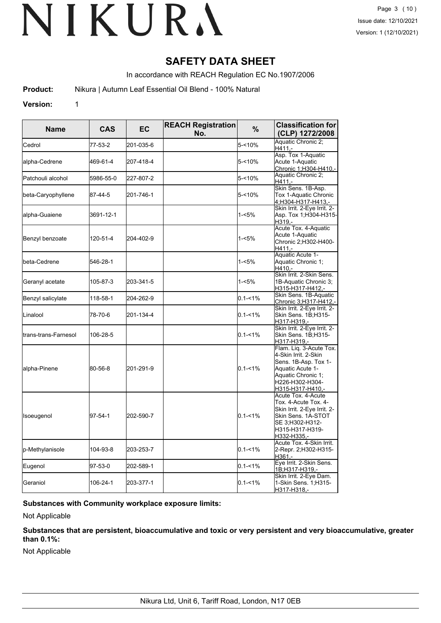## **SAFETY DATA SHEET**

In accordance with REACH Regulation EC No.1907/2006

**Product:** Nikura | Autumn Leaf Essential Oil Blend - 100% Natural

**Version:** 1

**CAS EC REACH Registration No. Classification for** Name CAS EC **NEACH Registration** % Classification for<br>No. (CLP) 1272/2008 Cedrol  $\begin{vmatrix} 77-53-2 & 201-035-6 \end{vmatrix}$   $\begin{vmatrix} 201-035-6 & 5 \end{vmatrix}$   $\begin{vmatrix} 5-5 \end{vmatrix}$   $\begin{vmatrix} 49 \end{vmatrix}$   $\begin{vmatrix} 49 \end{vmatrix}$   $\begin{vmatrix} 49 \end{vmatrix}$   $\begin{vmatrix} 49 \end{vmatrix}$   $\begin{vmatrix} 2 \end{vmatrix}$ H411, alpha-Cedrene 469-61-4 207-418-4 5-<10% Asp. Tox 1-Aquatic Acute 1-Aquatic <u>Chronic 1;H304-H410,</u><br>Aguatic Chronic 2; Patchouli alcohol  $\begin{vmatrix} 5986-55-0 \\ 227-807-2 \end{vmatrix}$   $\begin{vmatrix} 2 & -10\sqrt{3} & -10\sqrt{3} \\ -1 & 5\sqrt{3} & -10\sqrt{3} \end{vmatrix}$  Aquatic Chronic 2; H411, beta-Caryophyllene  $|87-44-5|$  201-746-1  $|5-<10\%|$ Skin Sens. 1B-Asp. Tox 1-Aquatic Chronic 4; H304-H317-H413, alpha-Guaiene 3691-12-1 1-<5% Skin Irrit. 2-Eye Irrit. 2- Asp. Tox 1;H304-H315- H<sub>319</sub> Benzyl benzoate 120-51-4 204-402-9 1-<5% Acute Tox. 4-Aquatic Acute 1-Aquatic Chronic 2;H302-H400- H411. beta-Cedrene 546-28-1 1-<5% Aquatic Acute 1- Aquatic Chronic 1;  $H410.$ Geranyl acetate 105-87-3 203-341-5 1-<5% Skin Irrit. 2-Skin Sens. 1B-Aquatic Chronic 3; H315-H317-H412,- Benzyl salicylate 118-58-1 204-262-9 0.1-<1% Skin Sens. 1B-Aquatic Chronic 3;H317-H412, Linalool 78-70-6 201-134-4 0.1-<1% Skin Irrit. 2-Eye Irrit. 2- Skin Sens. 1B;H315- H317-H319 trans-trans-Farnesol 106-28-5 0.1-<1% Skin Irrit. 2-Eye Irrit. 2- Skin Sens. 1B;H315- H317-H319, alpha-Pinene 80-56-8 201-291-9 0.1-<1% Flam. Liq. 3-Acute Tox. 4-Skin Irrit. 2-Skin Sens. 1B-Asp. Tox 1- Aquatic Acute 1- Aquatic Chronic 1; H226-H302-H304- H315-H317-H410,- Isoeugenol 97-54-1 202-590-7 0.1-<1% Acute Tox. 4-Acute Tox. 4-Acute Tox. 4- Skin Irrit. 2-Eye Irrit. 2- Skin Sens. 1A-STOT SE 3;H302-H312- H315-H317-H319- H332-H335 p-Methylanisole 104-93-8 203-253-7 0.1-<1% Acute Tox. 4-Skin Irrit. 2-Repr. 2;H302-H315- H361,- Eugenol 97-53-0 202-589-1 0.1-<1% Eye Irrit. 2-Skin Sens. 1B;H317-H319,- Geraniol 106-24-1 203-377-1 0.1-<1% Skin Irrit. 2-Eye Dam. 1-Skin Sens. 1;H315- H317-H318,-

### **Substances with Community workplace exposure limits:**

Not Applicable

**Substances that are persistent, bioaccumulative and toxic or very persistent and very bioaccumulative, greater than 0.1%:**

Not Applicable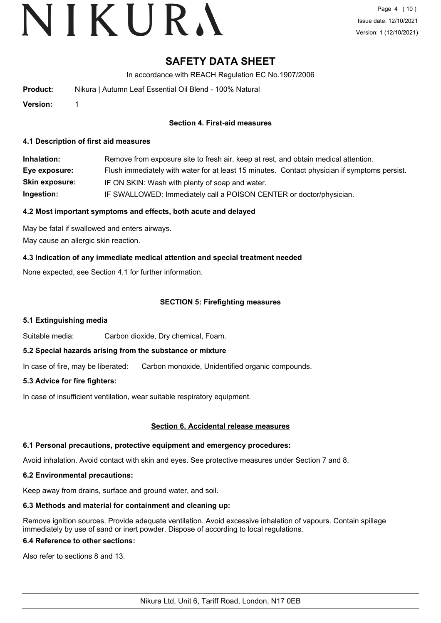# **SAFETY DATA SHEET**

In accordance with REACH Regulation EC No.1907/2006

| Product: | Nikura   Autumn Leaf Essential Oil Blend - 100% Natural |
|----------|---------------------------------------------------------|
|          |                                                         |

**Version:** 1

### **Section 4. First-aid measures**

#### **4.1 Description of first aid measures**

| Inhalation:           | Remove from exposure site to fresh air, keep at rest, and obtain medical attention.          |
|-----------------------|----------------------------------------------------------------------------------------------|
| Eye exposure:         | Flush immediately with water for at least 15 minutes. Contact physician if symptoms persist. |
| <b>Skin exposure:</b> | IF ON SKIN: Wash with plenty of soap and water.                                              |
| Ingestion:            | IF SWALLOWED: Immediately call a POISON CENTER or doctor/physician.                          |

#### **4.2 Most important symptoms and effects, both acute and delayed**

May be fatal if swallowed and enters airways. May cause an allergic skin reaction.

### **4.3 Indication of any immediate medical attention and special treatment needed**

None expected, see Section 4.1 for further information.

#### **SECTION 5: Firefighting measures**

#### **5.1 Extinguishing media**

Suitable media: Carbon dioxide, Dry chemical, Foam.

#### **5.2 Special hazards arising from the substance or mixture**

In case of fire, may be liberated: Carbon monoxide, Unidentified organic compounds.

#### **5.3 Advice for fire fighters:**

In case of insufficient ventilation, wear suitable respiratory equipment.

#### **Section 6. Accidental release measures**

#### **6.1 Personal precautions, protective equipment and emergency procedures:**

Avoid inhalation. Avoid contact with skin and eyes. See protective measures under Section 7 and 8.

#### **6.2 Environmental precautions:**

Keep away from drains, surface and ground water, and soil.

## **6.3 Methods and material for containment and cleaning up:**

Remove ignition sources. Provide adequate ventilation. Avoid excessive inhalation of vapours. Contain spillage immediately by use of sand or inert powder. Dispose of according to local regulations.

## **6.4 Reference to other sections:**

Also refer to sections 8 and 13.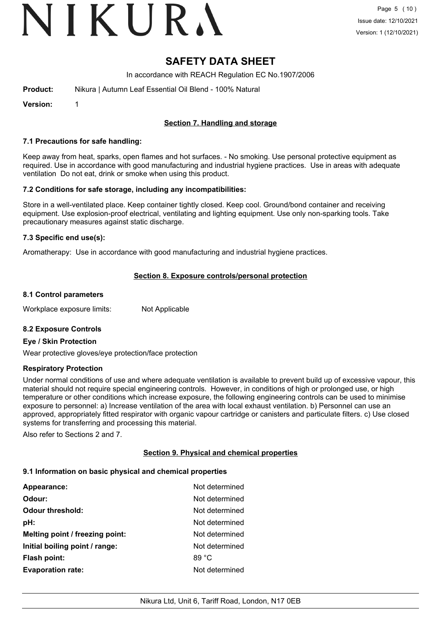# VIKURA

## **SAFETY DATA SHEET**

In accordance with REACH Regulation EC No.1907/2006

| Product: | Nikura   Autumn Leaf Essential Oil Blend - 100% Natural |
|----------|---------------------------------------------------------|
|          |                                                         |

**Version:** 1

### **Section 7. Handling and storage**

#### **7.1 Precautions for safe handling:**

Keep away from heat, sparks, open flames and hot surfaces. - No smoking. Use personal protective equipment as required. Use in accordance with good manufacturing and industrial hygiene practices. Use in areas with adequate ventilation Do not eat, drink or smoke when using this product.

#### **7.2 Conditions for safe storage, including any incompatibilities:**

Store in a well-ventilated place. Keep container tightly closed. Keep cool. Ground/bond container and receiving equipment. Use explosion-proof electrical, ventilating and lighting equipment. Use only non-sparking tools. Take precautionary measures against static discharge.

#### **7.3 Specific end use(s):**

Aromatherapy: Use in accordance with good manufacturing and industrial hygiene practices.

#### **Section 8. Exposure controls/personal protection**

#### **8.1 Control parameters**

Workplace exposure limits: Not Applicable

#### **8.2 Exposure Controls**

#### **Eye / Skin Protection**

Wear protective gloves/eye protection/face protection

#### **Respiratory Protection**

Under normal conditions of use and where adequate ventilation is available to prevent build up of excessive vapour, this material should not require special engineering controls. However, in conditions of high or prolonged use, or high temperature or other conditions which increase exposure, the following engineering controls can be used to minimise exposure to personnel: a) Increase ventilation of the area with local exhaust ventilation. b) Personnel can use an approved, appropriately fitted respirator with organic vapour cartridge or canisters and particulate filters. c) Use closed systems for transferring and processing this material.

Also refer to Sections 2 and 7.

#### **Section 9. Physical and chemical properties**

#### **9.1 Information on basic physical and chemical properties**

| Appearance:                     | Not determined  |
|---------------------------------|-----------------|
| Odour:                          | Not determined  |
| <b>Odour threshold:</b>         | Not determined  |
| pH:                             | Not determined  |
| Melting point / freezing point: | Not determined  |
| Initial boiling point / range:  | Not determined  |
| <b>Flash point:</b>             | 89 $^{\circ}$ C |
| <b>Evaporation rate:</b>        | Not determined  |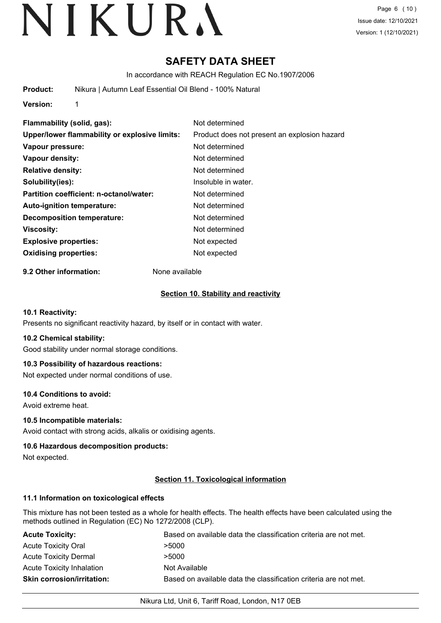# **SAFETY DATA SHEET**

In accordance with REACH Regulation EC No.1907/2006

**Product:** Nikura | Autumn Leaf Essential Oil Blend - 100% Natural

**Version:** 1

**Flammability (solid, gas):** Not determined **Upper/lower flammability or explosive limits:** Product does not present an explosion hazard **Vapour pressure:** Not determined **Vapour density:** Not determined **Relative density:** Not determined **Solubility(ies):** Insoluble in water. **Partition coefficient: n-octanol/water:** Not determined **Auto-ignition temperature:** Not determined **Decomposition temperature:** Not determined **Viscosity:** Not determined **Explosive properties:** Not expected **Oxidising properties:** Not expected

**9.2 Other information:** None available

#### **Section 10. Stability and reactivity**

#### **10.1 Reactivity:**

Presents no significant reactivity hazard, by itself or in contact with water.

#### **10.2 Chemical stability:**

Good stability under normal storage conditions.

#### **10.3 Possibility of hazardous reactions:**

Not expected under normal conditions of use.

#### **10.4 Conditions to avoid:**

Avoid extreme heat.

#### **10.5 Incompatible materials:**

Avoid contact with strong acids, alkalis or oxidising agents.

#### **10.6 Hazardous decomposition products:**

Not expected.

#### **Section 11. Toxicological information**

#### **11.1 Information on toxicological effects**

This mixture has not been tested as a whole for health effects. The health effects have been calculated using the methods outlined in Regulation (EC) No 1272/2008 (CLP).

| <b>Acute Toxicity:</b>            | Based on available data the classification criteria are not met. |
|-----------------------------------|------------------------------------------------------------------|
| <b>Acute Toxicity Oral</b>        | >5000                                                            |
| <b>Acute Toxicity Dermal</b>      | >5000                                                            |
| Acute Toxicity Inhalation         | Not Available                                                    |
| <b>Skin corrosion/irritation:</b> | Based on available data the classification criteria are not met. |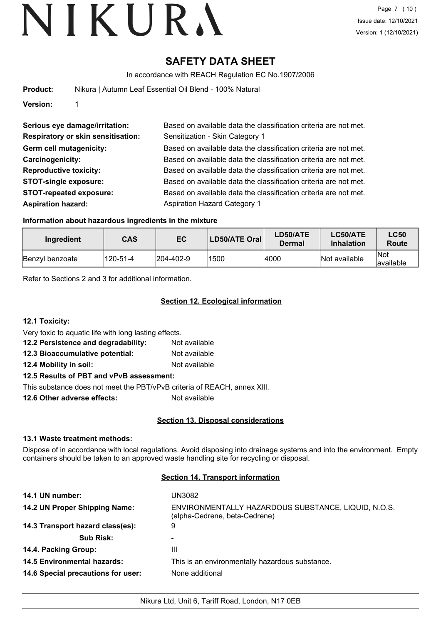## **SAFETY DATA SHEET**

In accordance with REACH Regulation EC No.1907/2006

| Product: | Nikura   Autumn Leaf Essential Oil Blend - 100% Natural |
|----------|---------------------------------------------------------|
|          |                                                         |

**Version:** 1

| Serious eye damage/irritation:            | Based on available data the classification criteria are not met. |
|-------------------------------------------|------------------------------------------------------------------|
| <b>Respiratory or skin sensitisation:</b> | Sensitization - Skin Category 1                                  |
| Germ cell mutagenicity:                   | Based on available data the classification criteria are not met. |
| Carcinogenicity:                          | Based on available data the classification criteria are not met. |
| <b>Reproductive toxicity:</b>             | Based on available data the classification criteria are not met. |
| <b>STOT-single exposure:</b>              | Based on available data the classification criteria are not met. |
| <b>STOT-repeated exposure:</b>            | Based on available data the classification criteria are not met. |
| <b>Aspiration hazard:</b>                 | <b>Aspiration Hazard Category 1</b>                              |

#### **Information about hazardous ingredients in the mixture**

| Ingredient      | CAS      | EC                | LD50/ATE Oral | LD50/ATE<br>Dermal | LC50/ATE<br><b>Inhalation</b> | <b>LC50</b><br>Route |
|-----------------|----------|-------------------|---------------|--------------------|-------------------------------|----------------------|
| Benzyl benzoate | 120-51-4 | $ 204 - 402 - 9 $ | 1500          | 4000               | Not available                 | Not<br>lavailable    |

Refer to Sections 2 and 3 for additional information.

### **Section 12. Ecological information**

**12.1 Toxicity:**

Very toxic to aquatic life with long lasting effects.

- **12.2 Persistence and degradability:** Not available
- **12.3 Bioaccumulative potential:** Not available

**12.4 Mobility in soil:** Not available

## **12.5 Results of PBT and vPvB assessment:**

This substance does not meet the PBT/vPvB criteria of REACH, annex XIII.

**12.6 Other adverse effects:** Not available

### **Section 13. Disposal considerations**

#### **13.1 Waste treatment methods:**

Dispose of in accordance with local regulations. Avoid disposing into drainage systems and into the environment. Empty containers should be taken to an approved waste handling site for recycling or disposal.

#### **Section 14. Transport information**

| 14.1 UN number:                    | UN3082                                                                               |
|------------------------------------|--------------------------------------------------------------------------------------|
| 14.2 UN Proper Shipping Name:      | ENVIRONMENTALLY HAZARDOUS SUBSTANCE, LIQUID, N.O.S.<br>(alpha-Cedrene, beta-Cedrene) |
| 14.3 Transport hazard class(es):   | 9                                                                                    |
| <b>Sub Risk:</b>                   |                                                                                      |
| 14.4. Packing Group:               | Ш                                                                                    |
| <b>14.5 Environmental hazards:</b> | This is an environmentally hazardous substance.                                      |
| 14.6 Special precautions for user: | None additional                                                                      |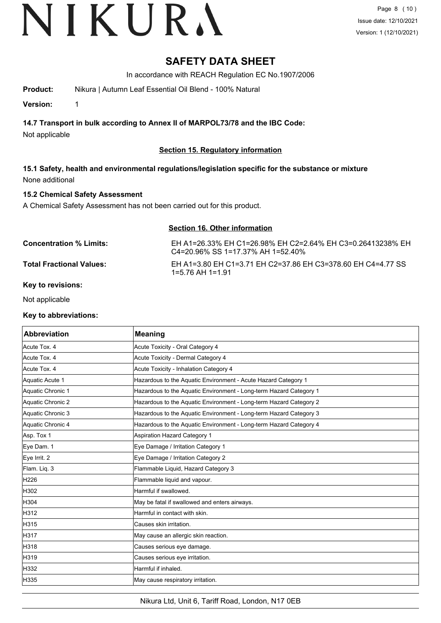## **SAFETY DATA SHEET**

In accordance with REACH Regulation EC No.1907/2006

**Product:** Nikura | Autumn Leaf Essential Oil Blend - 100% Natural

**Version:** 1

**14.7 Transport in bulk according to Annex II of MARPOL73/78 and the IBC Code:**

Not applicable

### **Section 15. Regulatory information**

**15.1 Safety, health and environmental regulations/legislation specific for the substance or mixture** None additional

### **15.2 Chemical Safety Assessment**

A Chemical Safety Assessment has not been carried out for this product.

| <b>Section 16. Other information</b> |                                                                                                          |
|--------------------------------------|----------------------------------------------------------------------------------------------------------|
| Concentration % Limits:              | EH A1=26.33% EH C1=26.98% EH C2=2.64% EH C3=0.26413238% EH<br>$C4 = 20.96\%$ SS 1 = 17.37% AH 1 = 52.40% |
| Total Fractional Values:             | EH A1=3.80 EH C1=3.71 EH C2=37.86 EH C3=378.60 EH C4=4.77 SS<br>1=5.76 AH 1=1.91                         |

#### **Key to revisions:**

Not applicable

#### **Key to abbreviations:**

| Abbreviation      | <b>Meaning</b>                                                     |
|-------------------|--------------------------------------------------------------------|
| Acute Tox. 4      | Acute Toxicity - Oral Category 4                                   |
| Acute Tox. 4      | Acute Toxicity - Dermal Category 4                                 |
| Acute Tox, 4      | Acute Toxicity - Inhalation Category 4                             |
| Aquatic Acute 1   | Hazardous to the Aquatic Environment - Acute Hazard Category 1     |
| Aquatic Chronic 1 | Hazardous to the Aquatic Environment - Long-term Hazard Category 1 |
| Aquatic Chronic 2 | Hazardous to the Aquatic Environment - Long-term Hazard Category 2 |
| Aquatic Chronic 3 | Hazardous to the Aquatic Environment - Long-term Hazard Category 3 |
| Aquatic Chronic 4 | Hazardous to the Aquatic Environment - Long-term Hazard Category 4 |
| Asp. Tox 1        | Aspiration Hazard Category 1                                       |
| Eye Dam. 1        | Eye Damage / Irritation Category 1                                 |
| Eye Irrit. 2      | Eye Damage / Irritation Category 2                                 |
| Flam. Liq. 3      | Flammable Liquid, Hazard Category 3                                |
| H226              | Flammable liquid and vapour.                                       |
| H302              | Harmful if swallowed.                                              |
| H304              | May be fatal if swallowed and enters airways.                      |
| H312              | Harmful in contact with skin.                                      |
| H315              | Causes skin irritation.                                            |
| H317              | May cause an allergic skin reaction.                               |
| H318              | Causes serious eye damage.                                         |
| H319              | Causes serious eye irritation.                                     |
| H332              | Harmful if inhaled.                                                |
| H335              | May cause respiratory irritation.                                  |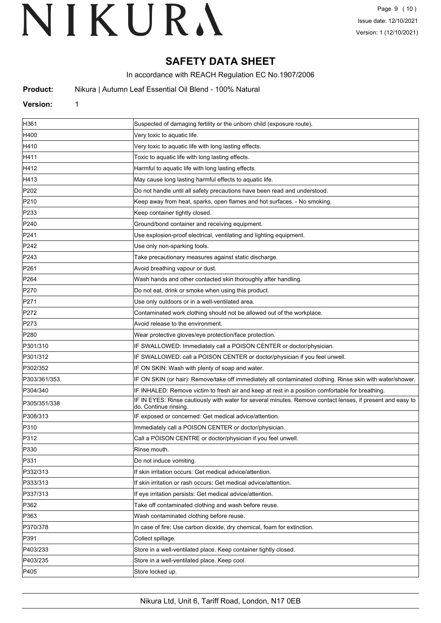## **SAFETY DATA SHEET**

In accordance with REACH Regulation EC No.1907/2006

**Product:** Nikura | Autumn Leaf Essential Oil Blend - 100% Natural

#### **Version:** 1

| H361             | Suspected of damaging fertility or the unborn child (exposure route).                                                               |
|------------------|-------------------------------------------------------------------------------------------------------------------------------------|
| H400             | Very toxic to aquatic life.                                                                                                         |
| H410             | Very toxic to aquatic life with long lasting effects.                                                                               |
| H411             | Toxic to aquatic life with long lasting effects.                                                                                    |
| H412             | Harmful to aquatic life with long lasting effects.                                                                                  |
| H413             | May cause long lasting harmful effects to aquatic life.                                                                             |
| P <sub>202</sub> | Do not handle until all safety precautions have been read and understood.                                                           |
| P210             | Keep away from heat, sparks, open flames and hot surfaces. - No smoking.                                                            |
| P233             | Keep container tightly closed.                                                                                                      |
| P240             | Ground/bond container and receiving equipment.                                                                                      |
| P241             | Use explosion-proof electrical, ventilating and lighting equipment.                                                                 |
| P242             | Use only non-sparking tools.                                                                                                        |
| P243             | Take precautionary measures against static discharge.                                                                               |
| P261             | Avoid breathing vapour or dust.                                                                                                     |
| P <sub>264</sub> | Wash hands and other contacted skin thoroughly after handling.                                                                      |
| P270             | Do not eat, drink or smoke when using this product.                                                                                 |
| P271             | Use only outdoors or in a well-ventilated area.                                                                                     |
| P272             | Contaminated work clothing should not be allowed out of the workplace.                                                              |
| P273             | Avoid release to the environment.                                                                                                   |
| P280             | Wear protective gloves/eye protection/face protection.                                                                              |
| P301/310         | IF SWALLOWED: Immediately call a POISON CENTER or doctor/physician.                                                                 |
| P301/312         | IF SWALLOWED: call a POISON CENTER or doctor/physician if you feel unwell.                                                          |
| P302/352         | IF ON SKIN: Wash with plenty of soap and water.                                                                                     |
| P303/361/353     | IF ON SKIN (or hair): Remove/take off immediately all contaminated clothing. Rinse skin with water/shower.                          |
| P304/340         | IF INHALED: Remove victim to fresh air and keep at rest in a position comfortable for breathing.                                    |
| P305/351/338     | IF IN EYES: Rinse cautiously with water for several minutes. Remove contact lenses, if present and easy to<br>do. Continue rinsing. |
| P308/313         | IF exposed or concerned: Get medical advice/attention.                                                                              |
| P310             | Immediately call a POISON CENTER or doctor/physician.                                                                               |
| P312             | Call a POISON CENTRE or doctor/physician if you feel unwell.                                                                        |
| P330             | Rinse mouth.                                                                                                                        |
| P331             | Do not induce vomiting.                                                                                                             |
| P332/313         | If skin irritation occurs: Get medical advice/attention.                                                                            |
| P333/313         | If skin irritation or rash occurs: Get medical advice/attention.                                                                    |
| P337/313         | If eye irritation persists: Get medical advice/attention.                                                                           |
| P362             | Take off contaminated clothing and wash before reuse.                                                                               |
| P363             | Wash contaminated clothing before reuse.                                                                                            |
| P370/378         | In case of fire: Use carbon dioxide, dry chemical, foam for extinction.                                                             |
| P391             | Collect spillage.                                                                                                                   |
| P403/233         | Store in a well-ventilated place. Keep container tightly closed.                                                                    |
| P403/235         | Store in a well-ventilated place. Keep cool.                                                                                        |
| P405             | Store locked up.                                                                                                                    |